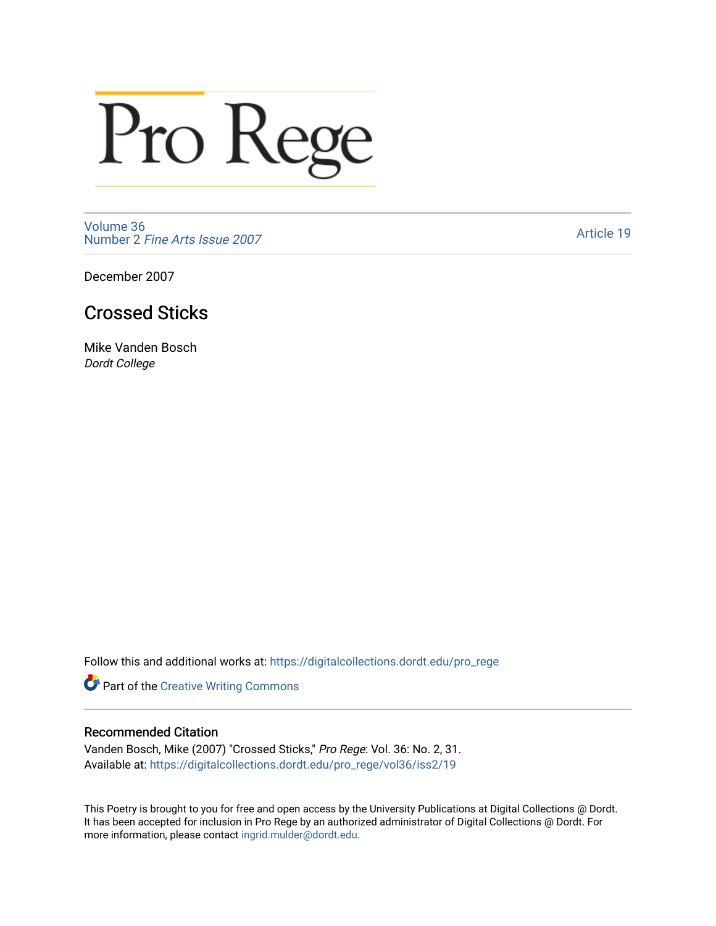## Pro Rege

[Volume 36](https://digitalcollections.dordt.edu/pro_rege/vol36) Number 2 [Fine Arts Issue 2007](https://digitalcollections.dordt.edu/pro_rege/vol36/iss2) 

[Article 19](https://digitalcollections.dordt.edu/pro_rege/vol36/iss2/19) 

December 2007

## Crossed Sticks

Mike Vanden Bosch Dordt College

Follow this and additional works at: [https://digitalcollections.dordt.edu/pro\\_rege](https://digitalcollections.dordt.edu/pro_rege?utm_source=digitalcollections.dordt.edu%2Fpro_rege%2Fvol36%2Fiss2%2F19&utm_medium=PDF&utm_campaign=PDFCoverPages) 

Part of the [Creative Writing Commons](http://network.bepress.com/hgg/discipline/574?utm_source=digitalcollections.dordt.edu%2Fpro_rege%2Fvol36%2Fiss2%2F19&utm_medium=PDF&utm_campaign=PDFCoverPages) 

## Recommended Citation

Vanden Bosch, Mike (2007) "Crossed Sticks," Pro Rege: Vol. 36: No. 2, 31. Available at: [https://digitalcollections.dordt.edu/pro\\_rege/vol36/iss2/19](https://digitalcollections.dordt.edu/pro_rege/vol36/iss2/19?utm_source=digitalcollections.dordt.edu%2Fpro_rege%2Fvol36%2Fiss2%2F19&utm_medium=PDF&utm_campaign=PDFCoverPages)

This Poetry is brought to you for free and open access by the University Publications at Digital Collections @ Dordt. It has been accepted for inclusion in Pro Rege by an authorized administrator of Digital Collections @ Dordt. For more information, please contact [ingrid.mulder@dordt.edu.](mailto:ingrid.mulder@dordt.edu)